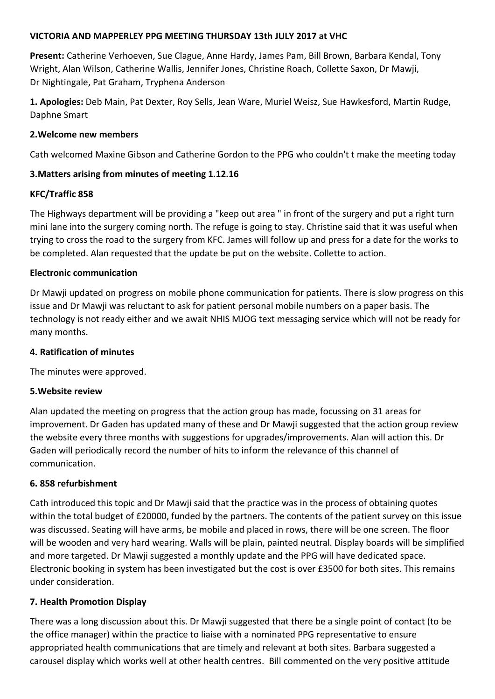#### **VICTORIA AND MAPPERLEY PPG MEETING THURSDAY 13th JULY 2017 at VHC**

**Present:** Catherine Verhoeven, Sue Clague, Anne Hardy, James Pam, Bill Brown, Barbara Kendal, Tony Wright, Alan Wilson, Catherine Wallis, Jennifer Jones, Christine Roach, Collette Saxon, Dr Mawji, Dr Nightingale, Pat Graham, Tryphena Anderson

**1. Apologies:** Deb Main, Pat Dexter, Roy Sells, Jean Ware, Muriel Weisz, Sue Hawkesford, Martin Rudge, Daphne Smart

## **2.Welcome new members**

Cath welcomed Maxine Gibson and Catherine Gordon to the PPG who couldn't t make the meeting today

# **3.Matters arising from minutes of meeting 1.12.16**

## **KFC/Traffic 858**

The Highways department will be providing a "keep out area " in front of the surgery and put a right turn mini lane into the surgery coming north. The refuge is going to stay. Christine said that it was useful when trying to cross the road to the surgery from KFC. James will follow up and press for a date for the works to be completed. Alan requested that the update be put on the website. Collette to action.

#### **Electronic communication**

Dr Mawji updated on progress on mobile phone communication for patients. There is slow progress on this issue and Dr Mawji was reluctant to ask for patient personal mobile numbers on a paper basis. The technology is not ready either and we await NHIS MJOG text messaging service which will not be ready for many months.

## **4. Ratification of minutes**

The minutes were approved.

## **5.Website review**

Alan updated the meeting on progress that the action group has made, focussing on 31 areas for improvement. Dr Gaden has updated many of these and Dr Mawji suggested that the action group review the website every three months with suggestions for upgrades/improvements. Alan will action this. Dr Gaden will periodically record the number of hits to inform the relevance of this channel of communication.

## **6. 858 refurbishment**

Cath introduced this topic and Dr Mawji said that the practice was in the process of obtaining quotes within the total budget of £20000, funded by the partners. The contents of the patient survey on this issue was discussed. Seating will have arms, be mobile and placed in rows, there will be one screen. The floor will be wooden and very hard wearing. Walls will be plain, painted neutral. Display boards will be simplified and more targeted. Dr Mawji suggested a monthly update and the PPG will have dedicated space. Electronic booking in system has been investigated but the cost is over £3500 for both sites. This remains under consideration.

## **7. Health Promotion Display**

There was a long discussion about this. Dr Mawji suggested that there be a single point of contact (to be the office manager) within the practice to liaise with a nominated PPG representative to ensure appropriated health communications that are timely and relevant at both sites. Barbara suggested a carousel display which works well at other health centres. Bill commented on the very positive attitude